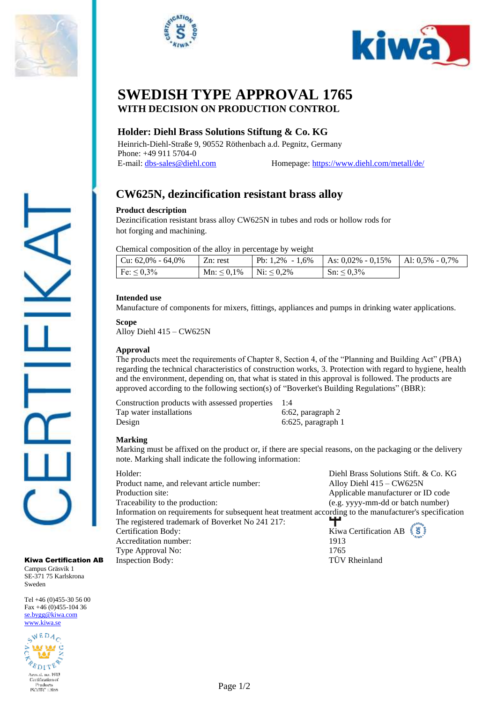





## **SWEDISH TYPE APPROVAL 1765 WITH DECISION ON PRODUCTION CONTROL**

## **Holder: Diehl Brass Solutions Stiftung & Co. KG**

Heinrich-Diehl-Straße 9, 90552 Röthenbach a.d. Pegnitz, Germany Phone: +49 911 5704-0 E-mail[: dbs-sales@diehl.com](mailto:dbs-sales@diehl.com) Homepage:<https://www.diehl.com/metall/de/>

# **CW625N, dezincification resistant brass alloy**

## **Product description**

Dezincification resistant brass alloy CW625N in tubes and rods or hollow rods for hot forging and machining.

Chemical composition of the alloy in percentage by weight

| $\vert$ Cu: 62,0% - 64,0% | $Zn$ : rest                       | Pb: $1.2\% - 1.6\%$ | $\vert$ As: 0,02% - 0,15% | $\vert$ Al: 0.5% - 0.7% |
|---------------------------|-----------------------------------|---------------------|---------------------------|-------------------------|
| $F$ e: $\leq 0.3\%$       | $Mn: \leq 0.1\%$ $Ni: \leq 0.2\%$ |                     | $\text{Sn:} \leq 0.3\%$   |                         |

## **Intended use**

Manufacture of components for mixers, fittings, appliances and pumps in drinking water applications.

**Scope**

Alloy Diehl 415 – CW625N

## **Approval**

The products meet the requirements of Chapter 8, Section 4, of the "Planning and Building Act" (PBA) regarding the technical characteristics of construction works, 3. Protection with regard to hygiene, health and the environment, depending on, that what is stated in this approval is followed. The products are approved according to the following section(s) of "Boverket's Building Regulations" (BBR):

Construction products with assessed properties 1:4 Tap water installations 6:62, paragraph 2 Design 6:625, paragraph 1

#### **Marking**

Marking must be affixed on the product or, if there are special reasons, on the packaging or the delivery note. Marking shall indicate the following information:

| Holder:                                                                                                 | Diehl Brass Solutions Stift. & Co. KG             |  |  |  |
|---------------------------------------------------------------------------------------------------------|---------------------------------------------------|--|--|--|
| Product name, and relevant article number:                                                              | Alloy Diehl $415 - CW625N$                        |  |  |  |
| Production site:                                                                                        | Applicable manufacturer or ID code                |  |  |  |
| Traceability to the production:                                                                         | (e.g. yyyy-mm-dd or batch number)                 |  |  |  |
| Information on requirements for subsequent heat treatment according to the manufacturer's specification |                                                   |  |  |  |
| The registered trademark of Boverket No 241 217:                                                        |                                                   |  |  |  |
| <b>Certification Body:</b>                                                                              | Kiwa Certification AB $\tilde{\xi}$ $\tilde{\xi}$ |  |  |  |
| Accreditation number:                                                                                   | 1913                                              |  |  |  |
| Type Approval No:                                                                                       | 1765                                              |  |  |  |
| <b>Inspection Body:</b>                                                                                 | <b>TÜV</b> Rheinland                              |  |  |  |

Kiwa Certification AB Campus Gräsvik 1 SE-371 75 Karlskrona Sweden

Tel +46 (0)455-30 56 00 Fax +46 (0)455-104 36 [se.bygg@kiwa.com](file://///sekiw-mainframe/gemensam/Bygg%20och%20Energi/2%20Kunder/H/Hansgrohe%20SE/pågående%20ärenden/128-19_TG%201395%20rev2_1-grepps%20TS-blandare%20för%202-håls%20inbyggnad%20i%20vägg_AXOR%20MyEdition_(EN%20817)/Certifikat%20utkast/se.bygg@kiwa.com) [www.kiwa.se](http://www.kiwa.se/)